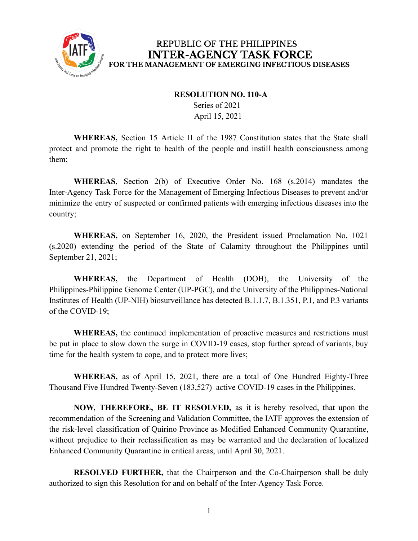

## REPUBLIC OF THE PHILIPPINES **INTER-AGENCY TASK FORCE** FOR THE MANAGEMENT OF EMERGING INFECTIOUS DISEASES

## **RESOLUTION NO. 110-A**

Series of 2021 April 15, 2021

**WHEREAS,** Section 15 Article II of the 1987 Constitution states that the State shall protect and promote the right to health of the people and instill health consciousness among them;

**WHEREAS**, Section 2(b) of Executive Order No. 168 (s.2014) mandates the Inter-Agency Task Force for the Management of Emerging Infectious Diseases to prevent and/or minimize the entry of suspected or confirmed patients with emerging infectious diseases into the country;

**WHEREAS,** on September 16, 2020, the President issued Proclamation No. 1021 (s.2020) extending the period of the State of Calamity throughout the Philippines until September 21, 2021;

**WHEREAS,** the Department of Health (DOH), the University of the Philippines-Philippine Genome Center (UP-PGC), and the University of the Philippines-National Institutes of Health (UP-NIH) biosurveillance has detected B.1.1.7, B.1.351, P.1, and P.3 variants of the COVID-19;

**WHEREAS,** the continued implementation of proactive measures and restrictions must be put in place to slow down the surge in COVID-19 cases, stop further spread of variants, buy time for the health system to cope, and to protect more lives;

**WHEREAS,** as of April 15, 2021, there are a total of One Hundred Eighty-Three Thousand Five Hundred Twenty-Seven (183,527) active COVID-19 cases in the Philippines.

**NOW, THEREFORE, BE IT RESOLVED,** as it is hereby resolved, that upon the recommendation of the Screening and Validation Committee, the IATF approves the extension of the risk-level classification of Quirino Province as Modified Enhanced Community Quarantine, without prejudice to their reclassification as may be warranted and the declaration of localized Enhanced Community Quarantine in critical areas, until April 30, 2021.

**RESOLVED FURTHER,** that the Chairperson and the Co-Chairperson shall be duly authorized to sign this Resolution for and on behalf of the Inter-Agency Task Force.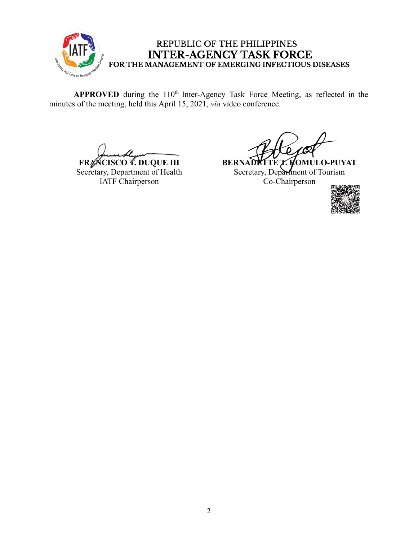

## REPUBLIC OF THE PHILIPPINES INTER-AGENCY TASK FORCE<br>FOR THE MANAGEMENT OF EMERGING INFECTIOUS DISEASES

APPROVED during the 110<sup>th</sup> Inter-Agency Task Force Meeting, as reflected in the minutes of the meeting, held this April 15, 2021, *via* video conference.

**FRANCISCO T. DUQUE III** Secretary, Department of Health IATF Chairperson

**BERNADETTE T. KOMULO-PUYAT** Secretary, Department of Tourism Co-Chairperson